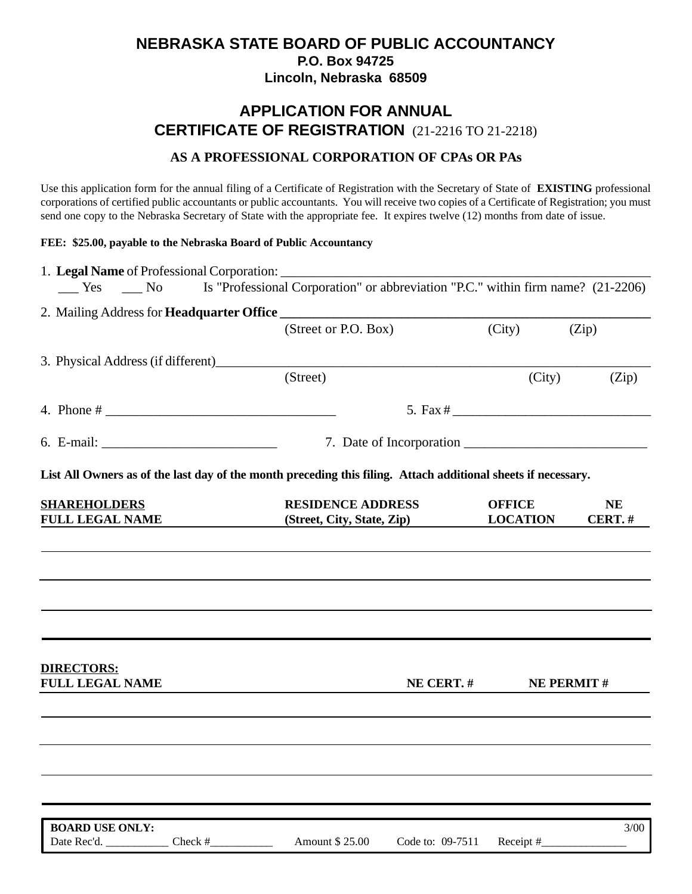## **NEBRASKA STATE BOARD OF PUBLIC ACCOUNTANCY P.O. Box 94725 Lincoln, Nebraska 68509**

# **APPLICATION FOR ANNUAL CERTIFICATE OF REGISTRATION** (21-2216 TO 21-2218)

### **AS A PROFESSIONAL CORPORATION OF CPAs OR PAs**

Use this application form for the annual filing of a Certificate of Registration with the Secretary of State of **EXISTING** professional corporations of certified public accountants or public accountants. You will receive two copies of a Certificate of Registration; you must send one copy to the Nebraska Secretary of State with the appropriate fee. It expires twelve (12) months from date of issue.

#### **FEE: \$25.00, payable to the Nebraska Board of Public Accountancy**

| $\frac{\text{Yes}}{\text{Yes}}$ No |         | Is "Professional Corporation" or abbreviation "P.C." within firm name? (21-2206)                              |                  |                 |                   |  |  |
|------------------------------------|---------|---------------------------------------------------------------------------------------------------------------|------------------|-----------------|-------------------|--|--|
|                                    |         |                                                                                                               |                  |                 |                   |  |  |
|                                    |         | (Street or P.O. Box)                                                                                          |                  | (City)          | (Zip)             |  |  |
|                                    |         |                                                                                                               |                  |                 |                   |  |  |
|                                    |         | (Street)                                                                                                      |                  | (City)          | (Zip)             |  |  |
|                                    |         |                                                                                                               |                  |                 |                   |  |  |
|                                    |         |                                                                                                               |                  |                 |                   |  |  |
|                                    |         | 7. Date of Incorporation                                                                                      |                  |                 |                   |  |  |
|                                    |         |                                                                                                               |                  |                 |                   |  |  |
|                                    |         | List All Owners as of the last day of the month preceding this filing. Attach additional sheets if necessary. |                  |                 |                   |  |  |
| <b>SHAREHOLDERS</b>                |         | <b>RESIDENCE ADDRESS</b>                                                                                      |                  | <b>OFFICE</b>   | <b>NE</b>         |  |  |
| <b>FULL LEGAL NAME</b>             |         | (Street, City, State, Zip)                                                                                    |                  | <b>LOCATION</b> | CERT.#            |  |  |
|                                    |         |                                                                                                               |                  |                 |                   |  |  |
|                                    |         |                                                                                                               |                  |                 |                   |  |  |
|                                    |         |                                                                                                               |                  |                 |                   |  |  |
|                                    |         |                                                                                                               |                  |                 |                   |  |  |
|                                    |         |                                                                                                               |                  |                 |                   |  |  |
|                                    |         |                                                                                                               |                  |                 |                   |  |  |
| <b>DIRECTORS:</b>                  |         |                                                                                                               |                  |                 |                   |  |  |
| <b>FULL LEGAL NAME</b>             |         |                                                                                                               | NE CERT.#        |                 | <b>NE PERMIT#</b> |  |  |
|                                    |         |                                                                                                               |                  |                 |                   |  |  |
|                                    |         |                                                                                                               |                  |                 |                   |  |  |
|                                    |         |                                                                                                               |                  |                 |                   |  |  |
|                                    |         |                                                                                                               |                  |                 |                   |  |  |
|                                    |         |                                                                                                               |                  |                 |                   |  |  |
|                                    |         |                                                                                                               |                  |                 |                   |  |  |
| <b>BOARD USE ONLY:</b>             |         |                                                                                                               |                  |                 | 3/00              |  |  |
| Date Rec'd.                        | Check # | Amount \$25.00                                                                                                | Code to: 09-7511 | Receipt #       |                   |  |  |